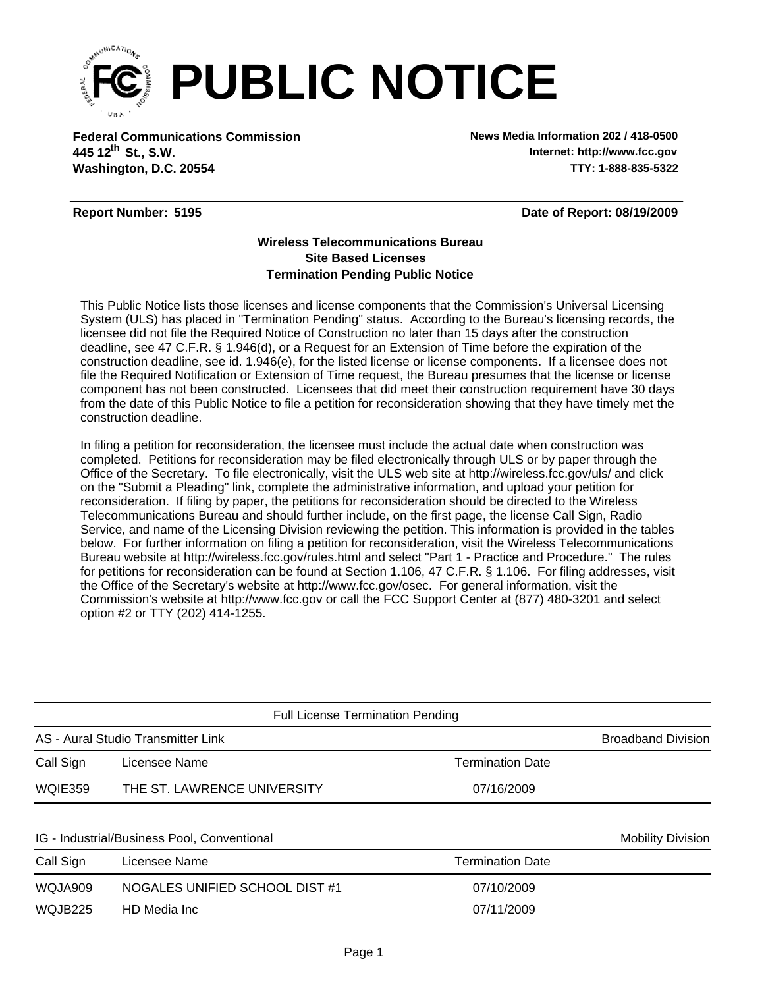

**Federal Communications Commission News Media Information 202 / 418-0500 Washington, D.C. 20554 TTY: 1-888-835-5322 445 12<sup>th</sup> St., S.W.** 

**Internet: http://www.fcc.gov**

## **Report Number: 5195**

**Date of Report: 08/19/2009**

## **Wireless Telecommunications Bureau Site Based Licenses Termination Pending Public Notice**

This Public Notice lists those licenses and license components that the Commission's Universal Licensing System (ULS) has placed in "Termination Pending" status. According to the Bureau's licensing records, the licensee did not file the Required Notice of Construction no later than 15 days after the construction deadline, see 47 C.F.R. § 1.946(d), or a Request for an Extension of Time before the expiration of the construction deadline, see id. 1.946(e), for the listed license or license components. If a licensee does not file the Required Notification or Extension of Time request, the Bureau presumes that the license or license component has not been constructed. Licensees that did meet their construction requirement have 30 days from the date of this Public Notice to file a petition for reconsideration showing that they have timely met the construction deadline.

In filing a petition for reconsideration, the licensee must include the actual date when construction was completed. Petitions for reconsideration may be filed electronically through ULS or by paper through the Office of the Secretary. To file electronically, visit the ULS web site at http://wireless.fcc.gov/uls/ and click on the "Submit a Pleading" link, complete the administrative information, and upload your petition for reconsideration. If filing by paper, the petitions for reconsideration should be directed to the Wireless Telecommunications Bureau and should further include, on the first page, the license Call Sign, Radio Service, and name of the Licensing Division reviewing the petition. This information is provided in the tables below. For further information on filing a petition for reconsideration, visit the Wireless Telecommunications Bureau website at http://wireless.fcc.gov/rules.html and select "Part 1 - Practice and Procedure." The rules for petitions for reconsideration can be found at Section 1.106, 47 C.F.R. § 1.106. For filing addresses, visit the Office of the Secretary's website at http://www.fcc.gov/osec. For general information, visit the Commission's website at http://www.fcc.gov or call the FCC Support Center at (877) 480-3201 and select option #2 or TTY (202) 414-1255.

|                | <b>Full License Termination Pending</b>     |                         |                           |
|----------------|---------------------------------------------|-------------------------|---------------------------|
|                | AS - Aural Studio Transmitter Link          |                         | <b>Broadband Division</b> |
| Call Sign      | Licensee Name                               | <b>Termination Date</b> |                           |
| WQIE359        | THE ST. LAWRENCE UNIVERSITY                 | 07/16/2009              |                           |
|                | IG - Industrial/Business Pool, Conventional |                         | <b>Mobility Division</b>  |
| Call Sign      | Licensee Name                               | <b>Termination Date</b> |                           |
| WQJA909        | NOGALES UNIFIED SCHOOL DIST#1               | 07/10/2009              |                           |
| <b>WOJB225</b> | HD Media Inc.                               | 07/11/2009              |                           |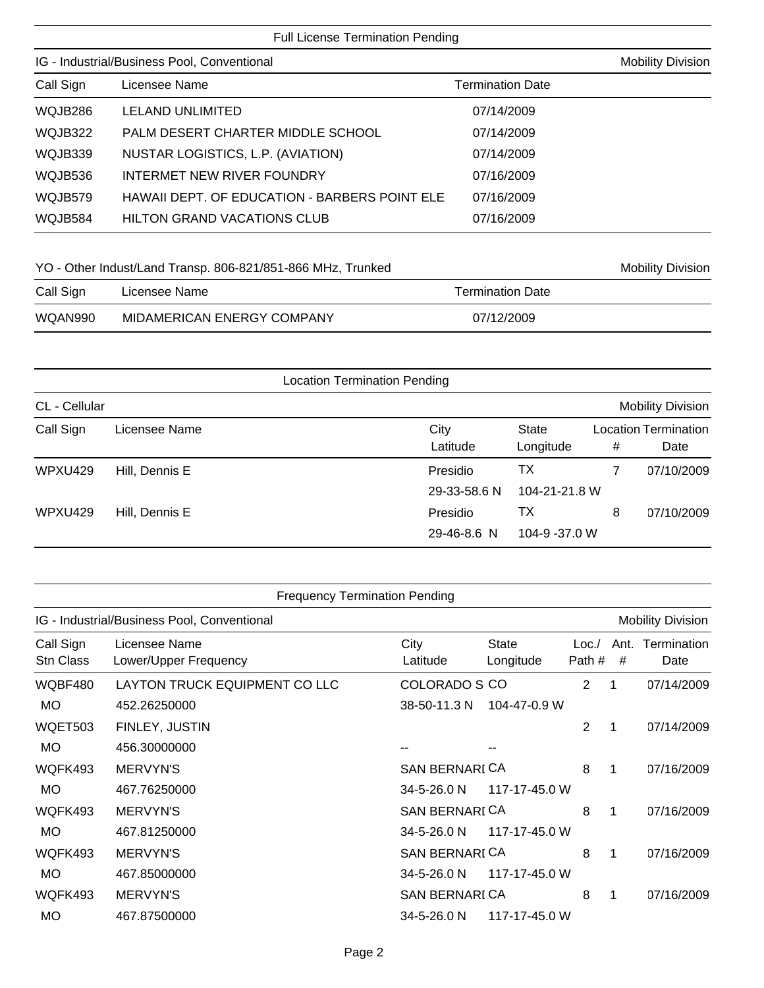## Full License Termination Pending

| IG - Industrial/Business Pool, Conventional |                                               |                         | <b>Mobility Division</b> |
|---------------------------------------------|-----------------------------------------------|-------------------------|--------------------------|
| Call Sign                                   | Licensee Name                                 | <b>Termination Date</b> |                          |
| WQJB286                                     | LELAND UNLIMITED                              | 07/14/2009              |                          |
| WQJB322                                     | PALM DESERT CHARTER MIDDLE SCHOOL             | 07/14/2009              |                          |
| WQJB339                                     | NUSTAR LOGISTICS, L.P. (AVIATION)             | 07/14/2009              |                          |
| WQJB536                                     | INTERMET NEW RIVER FOUNDRY                    | 07/16/2009              |                          |
| WQJB579                                     | HAWAII DEPT. OF EDUCATION - BARBERS POINT ELE | 07/16/2009              |                          |
| WQJB584                                     | <b>HILTON GRAND VACATIONS CLUB</b>            | 07/16/2009              |                          |

## YO - Other Indust/Land Transp. 806-821/851-866 MHz, Trunked Mobility Division

| Call Sign | Licensee Name              | Termination Date |
|-----------|----------------------------|------------------|
| WQAN990   | MIDAMERICAN ENERGY COMPANY | 07/12/2009       |

| <b>Location Termination Pending</b> |                |                                                 |   |                                     |  |
|-------------------------------------|----------------|-------------------------------------------------|---|-------------------------------------|--|
| CL - Cellular                       |                |                                                 |   | <b>Mobility Division</b>            |  |
| Call Sign                           | Licensee Name  | City<br>State<br>Latitude<br>Longitude          | # | <b>Location Termination</b><br>Date |  |
| WPXU429                             | Hill, Dennis E | ТX<br>Presidio<br>104-21-21.8 W<br>29-33-58.6 N |   | 07/10/2009                          |  |
| WPXU429                             | Hill, Dennis E | TХ<br>Presidio<br>104-9 -37.0 W<br>29-46-8.6 N  | 8 | 07/10/2009                          |  |

| <b>Frequency Termination Pending</b>        |                                        |                       |                           |                |           |                          |
|---------------------------------------------|----------------------------------------|-----------------------|---------------------------|----------------|-----------|--------------------------|
| IG - Industrial/Business Pool, Conventional |                                        |                       |                           |                |           | <b>Mobility Division</b> |
| Call Sign<br>Stn Class                      | Licensee Name<br>Lower/Upper Frequency | City<br>Latitude      | <b>State</b><br>Longitude | Loc.<br>Path # | Ant.<br># | Termination<br>Date      |
| WQBF480                                     | LAYTON TRUCK EQUIPMENT CO LLC          | COLORADO S CO         |                           | $\overline{2}$ | 1         | 07/14/2009               |
| <b>MO</b>                                   | 452.26250000                           | 38-50-11.3 N          | 104-47-0.9 W              |                |           |                          |
| WQET503                                     | FINLEY, JUSTIN                         |                       |                           | $\overline{2}$ | 1         | 07/14/2009               |
| <b>MO</b>                                   | 456.30000000                           |                       |                           |                |           |                          |
| WQFK493                                     | <b>MERVYN'S</b>                        | <b>SAN BERNARI CA</b> |                           | 8              | 1         | 07/16/2009               |
| <b>MO</b>                                   | 467.76250000                           | 34-5-26.0 N           | 117-17-45.0 W             |                |           |                          |
| WQFK493                                     | <b>MERVYN'S</b>                        | <b>SAN BERNARI CA</b> |                           | 8              | 1         | 07/16/2009               |
| <b>MO</b>                                   | 467.81250000                           | 34-5-26.0 N           | 117-17-45.0 W             |                |           |                          |
| WQFK493                                     | <b>MERVYN'S</b>                        | <b>SAN BERNARI CA</b> |                           | 8              | 1         | 07/16/2009               |
| <b>MO</b>                                   | 467.85000000                           | 34-5-26.0 N           | 117-17-45.0 W             |                |           |                          |
| WQFK493                                     | <b>MERVYN'S</b>                        | <b>SAN BERNARI CA</b> |                           | 8              | 1         | 07/16/2009               |
| <b>MO</b>                                   | 467.87500000                           | 34-5-26.0 N           | 117-17-45.0 W             |                |           |                          |